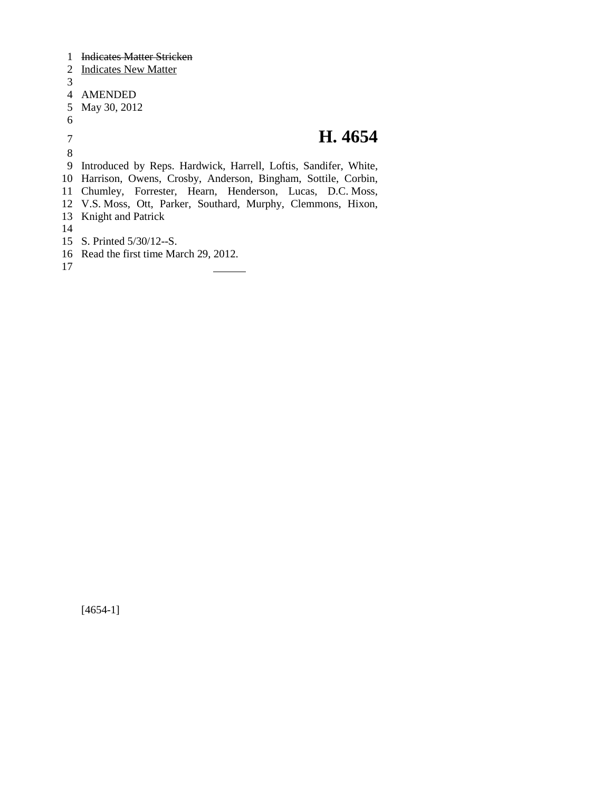Indicates Matter Stricken Indicates New Matter AMENDED May 30, 2012 **H. 4654** Introduced by Reps. Hardwick, Harrell, Loftis, Sandifer, White, Harrison, Owens, Crosby, Anderson, Bingham, Sottile, Corbin, Chumley, Forrester, Hearn, Henderson, Lucas, D.C. Moss, V.S. Moss, Ott, Parker, Southard, Murphy, Clemmons, Hixon, Knight and Patrick S. Printed 5/30/12--S. Read the first time March 29, 2012.

[4654-1]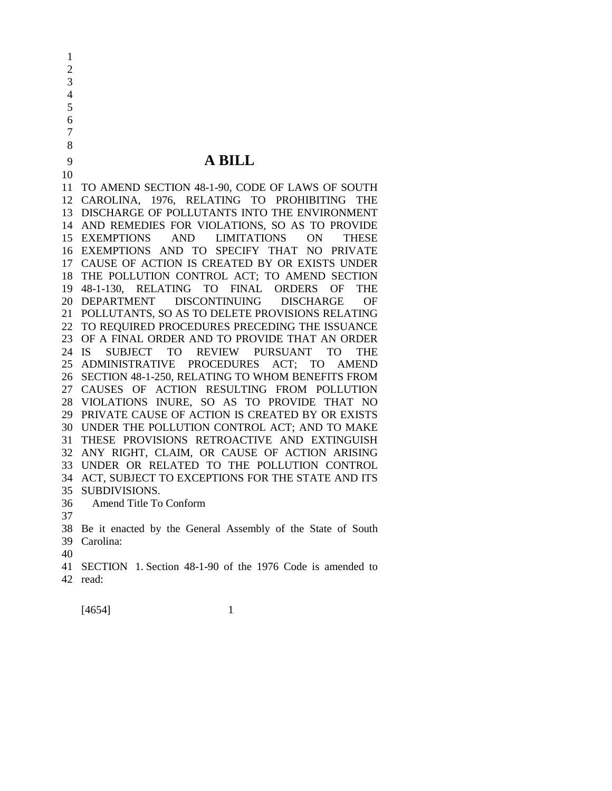**A BILL**

 TO AMEND SECTION 48-1-90, CODE OF LAWS OF SOUTH CAROLINA, 1976, RELATING TO PROHIBITING THE DISCHARGE OF POLLUTANTS INTO THE ENVIRONMENT AND REMEDIES FOR VIOLATIONS, SO AS TO PROVIDE EXEMPTIONS AND LIMITATIONS ON THESE EXEMPTIONS AND TO SPECIFY THAT NO PRIVATE CAUSE OF ACTION IS CREATED BY OR EXISTS UNDER THE POLLUTION CONTROL ACT; TO AMEND SECTION 48-1-130, RELATING TO FINAL ORDERS OF THE DEPARTMENT DISCONTINUING DISCHARGE OF POLLUTANTS, SO AS TO DELETE PROVISIONS RELATING TO REQUIRED PROCEDURES PRECEDING THE ISSUANCE OF A FINAL ORDER AND TO PROVIDE THAT AN ORDER IS SUBJECT TO REVIEW PURSUANT TO THE ADMINISTRATIVE PROCEDURES ACT; TO AMEND SECTION 48-1-250, RELATING TO WHOM BENEFITS FROM CAUSES OF ACTION RESULTING FROM POLLUTION VIOLATIONS INURE, SO AS TO PROVIDE THAT NO PRIVATE CAUSE OF ACTION IS CREATED BY OR EXISTS UNDER THE POLLUTION CONTROL ACT; AND TO MAKE THESE PROVISIONS RETROACTIVE AND EXTINGUISH ANY RIGHT, CLAIM, OR CAUSE OF ACTION ARISING UNDER OR RELATED TO THE POLLUTION CONTROL ACT, SUBJECT TO EXCEPTIONS FOR THE STATE AND ITS SUBDIVISIONS. Amend Title To Conform

 Be it enacted by the General Assembly of the State of South Carolina:

- 
- 
- SECTION 1. Section 48-1-90 of the 1976 Code is amended to read: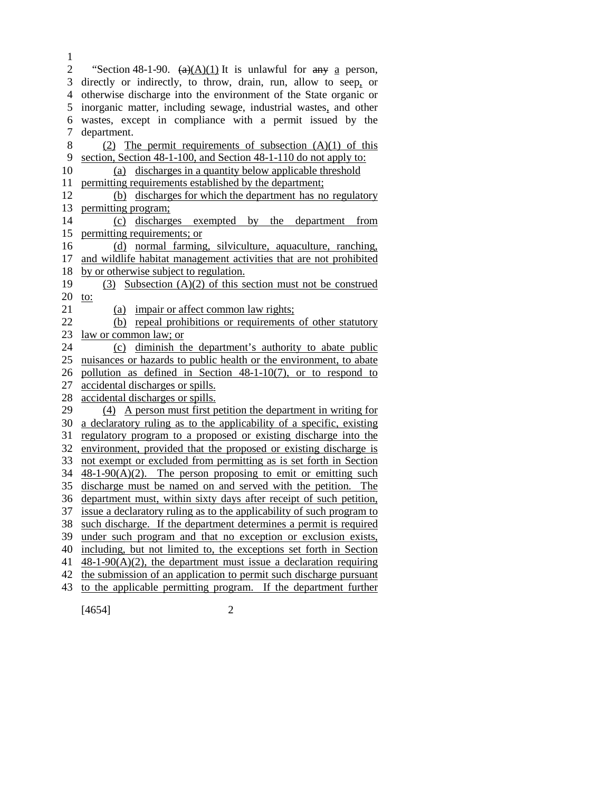2 "Section 48-1-90.  $\left(\frac{a}{A}(A)(1)\right)$  It is unlawful for  $\frac{a}{A}$  person, directly or indirectly, to throw, drain, run, allow to seep, or otherwise discharge into the environment of the State organic or inorganic matter, including sewage, industrial wastes, and other wastes, except in compliance with a permit issued by the department. 8 (2) The permit requirements of subsection  $(A)(1)$  of this section, Section 48-1-100, and Section 48-1-110 do not apply to: (a) discharges in a quantity below applicable threshold permitting requirements established by the department; (b) discharges for which the department has no regulatory permitting program; (c) discharges exempted by the department from permitting requirements; or (d) normal farming, silviculture, aquaculture, ranching, and wildlife habitat management activities that are not prohibited by or otherwise subject to regulation. (3) Subsection (A)(2) of this section must not be construed 20 to: (a) impair or affect common law rights; 22 (b) repeal prohibitions or requirements of other statutory law or common law; or (c) diminish the department's authority to abate public nuisances or hazards to public health or the environment, to abate pollution as defined in Section 48-1-10(7), or to respond to accidental discharges or spills. accidental discharges or spills. (4) A person must first petition the department in writing for a declaratory ruling as to the applicability of a specific, existing regulatory program to a proposed or existing discharge into the environment, provided that the proposed or existing discharge is not exempt or excluded from permitting as is set forth in Section  $48-1-90(A)(2)$ . The person proposing to emit or emitting such discharge must be named on and served with the petition. The department must, within sixty days after receipt of such petition, issue a declaratory ruling as to the applicability of such program to such discharge. If the department determines a permit is required under such program and that no exception or exclusion exists, including, but not limited to, the exceptions set forth in Section 41 48-1-90(A)(2), the department must issue a declaration requiring the submission of an application to permit such discharge pursuant to the applicable permitting program. If the department further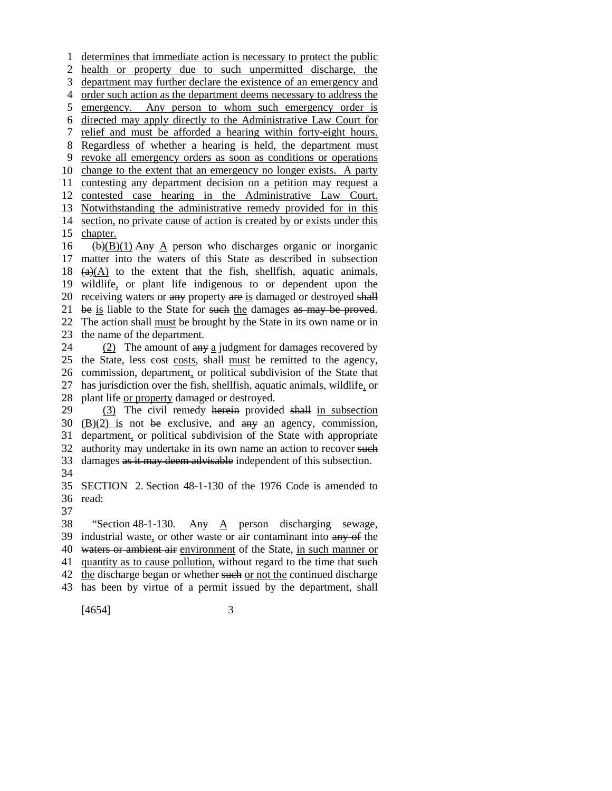determines that immediate action is necessary to protect the public health or property due to such unpermitted discharge, the department may further declare the existence of an emergency and order such action as the department deems necessary to address the emergency. Any person to whom such emergency order is directed may apply directly to the Administrative Law Court for relief and must be afforded a hearing within forty-eight hours. Regardless of whether a hearing is held, the department must revoke all emergency orders as soon as conditions or operations change to the extent that an emergency no longer exists. A party contesting any department decision on a petition may request a contested case hearing in the Administrative Law Court. Notwithstanding the administrative remedy provided for in this section, no private cause of action is created by or exists under this chapter.  $(b)(B)(1)$  Any A person who discharges organic or inorganic matter into the waters of this State as described in subsection  $(a)(A)$  to the extent that the fish, shellfish, aquatic animals, wildlife, or plant life indigenous to or dependent upon the 20 receiving waters or any property are is damaged or destroyed shall 21 be is liable to the State for such the damages as may be proved. The action shall must be brought by the State in its own name or in the name of the department. 24 (2) The amount of  $\frac{a_n}{b_n}$  a judgment for damages recovered by 25 the State, less cost costs, shall must be remitted to the agency, commission, department, or political subdivision of the State that has jurisdiction over the fish, shellfish, aquatic animals, wildlife, or plant life or property damaged or destroyed. (3) The civil remedy herein provided shall in subsection  $(B)(2)$  is not be exclusive, and any an agency, commission, department, or political subdivision of the State with appropriate

32 authority may undertake in its own name an action to recover such 33 damages as it may deem advisable independent of this subsection.

 SECTION 2. Section 48-1-130 of the 1976 Code is amended to read:

 "Section 48-1-130. Any A person discharging sewage, industrial waste, or other waste or air contaminant into any of the 40 waters or ambient air environment of the State, in such manner or 41 quantity as to cause pollution, without regard to the time that such 42 the discharge began or whether such or not the continued discharge has been by virtue of a permit issued by the department, shall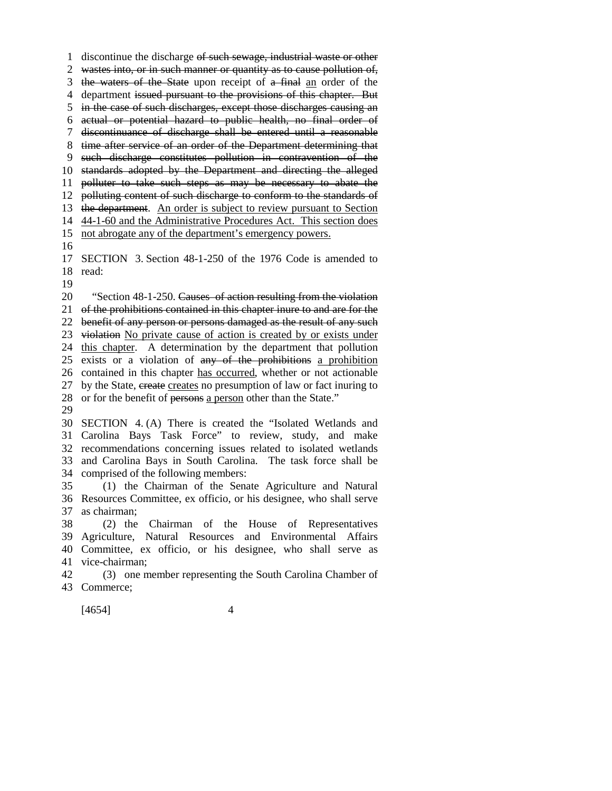discontinue the discharge of such sewage, industrial waste or other

wastes into, or in such manner or quantity as to cause pollution of,

3 the waters of the State upon receipt of a final an order of the

department issued pursuant to the provisions of this chapter. But

in the case of such discharges, except those discharges causing an

- actual or potential hazard to public health, no final order of
- discontinuance of discharge shall be entered until a reasonable
- time after service of an order of the Department determining that
- such discharge constitutes pollution in contravention of the

 standards adopted by the Department and directing the alleged polluter to take such steps as may be necessary to abate the

polluting content of such discharge to conform to the standards of

13 the department. An order is subject to review pursuant to Section

44-1-60 and the Administrative Procedures Act. This section does

not abrogate any of the department's emergency powers.

## SECTION 3. Section 48-1-250 of the 1976 Code is amended to read:

"Section 48-1-250. Causes of action resulting from the violation

of the prohibitions contained in this chapter inure to and are for the

benefit of any person or persons damaged as the result of any such

violation No private cause of action is created by or exists under

this chapter. A determination by the department that pollution

exists or a violation of any of the prohibitions a prohibition

contained in this chapter has occurred, whether or not actionable

27 by the State, create creates no presumption of law or fact inuring to

or for the benefit of persons a person other than the State."

 SECTION 4. (A) There is created the "Isolated Wetlands and Carolina Bays Task Force" to review, study, and make recommendations concerning issues related to isolated wetlands and Carolina Bays in South Carolina. The task force shall be comprised of the following members:

 (1) the Chairman of the Senate Agriculture and Natural Resources Committee, ex officio, or his designee, who shall serve as chairman;

 (2) the Chairman of the House of Representatives Agriculture, Natural Resources and Environmental Affairs Committee, ex officio, or his designee, who shall serve as

vice-chairman;

 (3) one member representing the South Carolina Chamber of Commerce;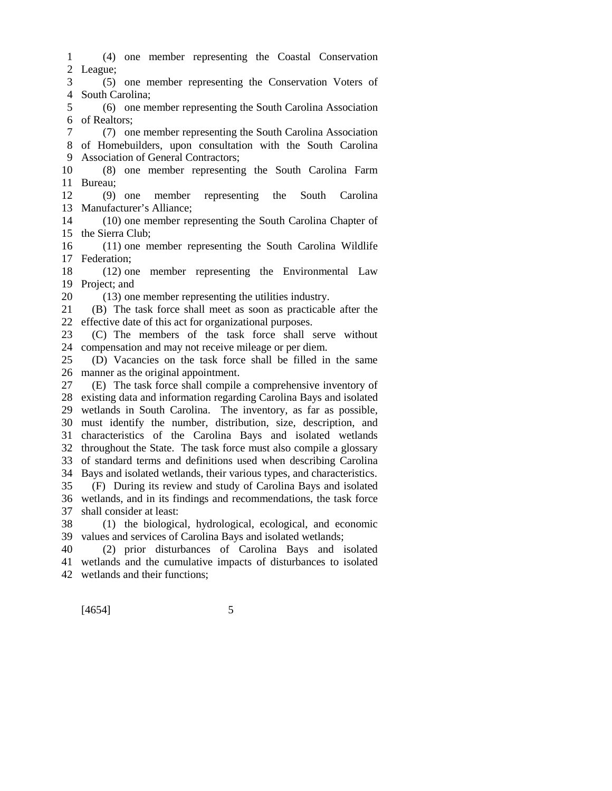- (4) one member representing the Coastal Conservation League;
- (5) one member representing the Conservation Voters of South Carolina;
- (6) one member representing the South Carolina Association of Realtors;

 (7) one member representing the South Carolina Association of Homebuilders, upon consultation with the South Carolina Association of General Contractors;

 (8) one member representing the South Carolina Farm Bureau;

 (9) one member representing the South Carolina Manufacturer's Alliance;

 (10) one member representing the South Carolina Chapter of the Sierra Club;

 (11) one member representing the South Carolina Wildlife Federation;

 (12) one member representing the Environmental Law Project; and

(13) one member representing the utilities industry.

 (B) The task force shall meet as soon as practicable after the effective date of this act for organizational purposes.

 (C) The members of the task force shall serve without compensation and may not receive mileage or per diem.

 (D) Vacancies on the task force shall be filled in the same manner as the original appointment.

 (E) The task force shall compile a comprehensive inventory of existing data and information regarding Carolina Bays and isolated wetlands in South Carolina. The inventory, as far as possible, must identify the number, distribution, size, description, and characteristics of the Carolina Bays and isolated wetlands throughout the State. The task force must also compile a glossary of standard terms and definitions used when describing Carolina Bays and isolated wetlands, their various types, and characteristics.

 (F) During its review and study of Carolina Bays and isolated wetlands, and in its findings and recommendations, the task force shall consider at least:

 (1) the biological, hydrological, ecological, and economic values and services of Carolina Bays and isolated wetlands;

 (2) prior disturbances of Carolina Bays and isolated wetlands and the cumulative impacts of disturbances to isolated wetlands and their functions;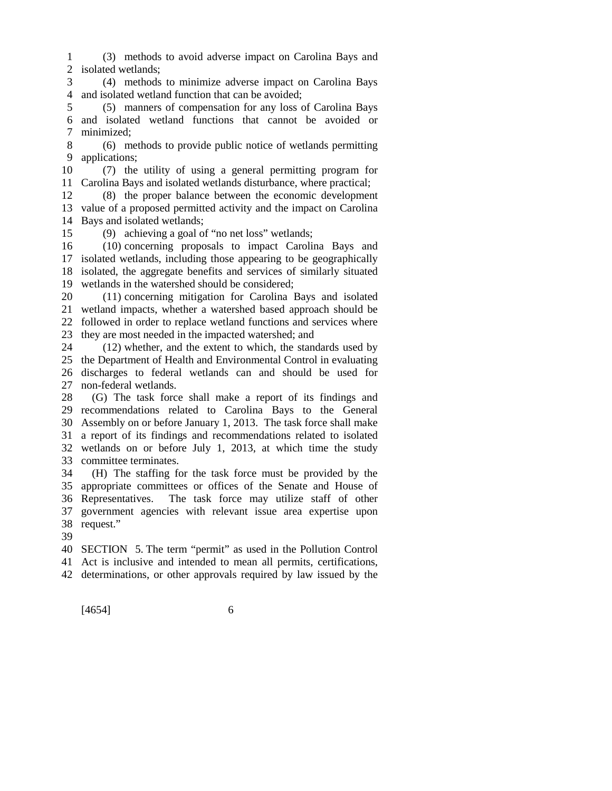(3) methods to avoid adverse impact on Carolina Bays and isolated wetlands;

 (4) methods to minimize adverse impact on Carolina Bays and isolated wetland function that can be avoided;

 (5) manners of compensation for any loss of Carolina Bays and isolated wetland functions that cannot be avoided or minimized;

 (6) methods to provide public notice of wetlands permitting applications;

 (7) the utility of using a general permitting program for Carolina Bays and isolated wetlands disturbance, where practical;

 (8) the proper balance between the economic development value of a proposed permitted activity and the impact on Carolina Bays and isolated wetlands;

(9) achieving a goal of "no net loss" wetlands;

 (10) concerning proposals to impact Carolina Bays and isolated wetlands, including those appearing to be geographically isolated, the aggregate benefits and services of similarly situated wetlands in the watershed should be considered;

 (11) concerning mitigation for Carolina Bays and isolated wetland impacts, whether a watershed based approach should be followed in order to replace wetland functions and services where they are most needed in the impacted watershed; and

 (12) whether, and the extent to which, the standards used by the Department of Health and Environmental Control in evaluating discharges to federal wetlands can and should be used for non-federal wetlands.

 (G) The task force shall make a report of its findings and recommendations related to Carolina Bays to the General Assembly on or before January 1, 2013. The task force shall make a report of its findings and recommendations related to isolated wetlands on or before July 1, 2013, at which time the study committee terminates.

 (H) The staffing for the task force must be provided by the appropriate committees or offices of the Senate and House of Representatives. The task force may utilize staff of other government agencies with relevant issue area expertise upon request."

SECTION 5. The term "permit" as used in the Pollution Control

Act is inclusive and intended to mean all permits, certifications,

determinations, or other approvals required by law issued by the